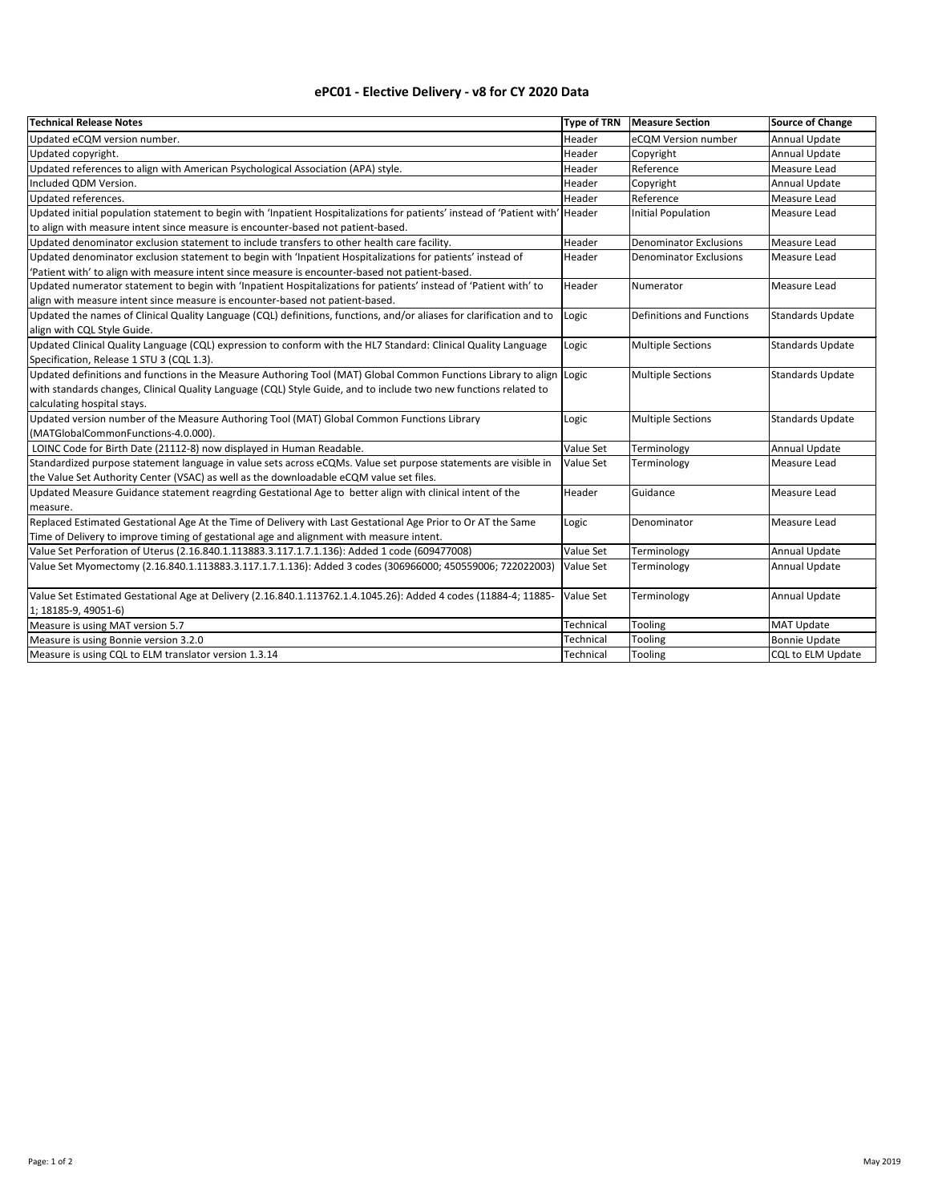| <b>Technical Release Notes</b>                                                                                                | <b>Type of TRN</b> | <b>Measure Section</b>        | <b>Source of Change</b> |
|-------------------------------------------------------------------------------------------------------------------------------|--------------------|-------------------------------|-------------------------|
| Updated eCQM version number.                                                                                                  | Header             | eCQM Version number           | Annual Update           |
| Updated copyright.                                                                                                            | Header             | Copyright                     | <b>Annual Update</b>    |
| Updated references to align with American Psychological Association (APA) style.                                              | Header             | Reference                     | Measure Lead            |
| Included QDM Version.                                                                                                         | Header             | Copyright                     | Annual Update           |
| Updated references.                                                                                                           | Header             | Reference                     | Measure Lead            |
| Updated initial population statement to begin with 'Inpatient Hospitalizations for patients' instead of 'Patient with' Header |                    | <b>Initial Population</b>     | Measure Lead            |
| to align with measure intent since measure is encounter-based not patient-based.                                              |                    |                               |                         |
| Updated denominator exclusion statement to include transfers to other health care facility.                                   | Header             | <b>Denominator Exclusions</b> | Measure Lead            |
| Updated denominator exclusion statement to begin with 'Inpatient Hospitalizations for patients' instead of                    | Header             | Denominator Exclusions        | Measure Lead            |
| 'Patient with' to align with measure intent since measure is encounter-based not patient-based.                               |                    |                               |                         |
| Updated numerator statement to begin with 'Inpatient Hospitalizations for patients' instead of 'Patient with' to              | Header             | Numerator                     | Measure Lead            |
| align with measure intent since measure is encounter-based not patient-based.                                                 |                    |                               |                         |
| Updated the names of Clinical Quality Language (CQL) definitions, functions, and/or aliases for clarification and to          | Logic              | Definitions and Functions     | <b>Standards Update</b> |
| align with CQL Style Guide.                                                                                                   |                    |                               |                         |
| Updated Clinical Quality Language (CQL) expression to conform with the HL7 Standard: Clinical Quality Language                | Logic              | <b>Multiple Sections</b>      | <b>Standards Update</b> |
| Specification, Release 1 STU 3 (CQL 1.3).                                                                                     |                    |                               |                         |
| Updated definitions and functions in the Measure Authoring Tool (MAT) Global Common Functions Library to align Logic          |                    | <b>Multiple Sections</b>      | <b>Standards Update</b> |
| with standards changes, Clinical Quality Language (CQL) Style Guide, and to include two new functions related to              |                    |                               |                         |
| calculating hospital stays.                                                                                                   |                    |                               |                         |
| Updated version number of the Measure Authoring Tool (MAT) Global Common Functions Library                                    | Logic              | <b>Multiple Sections</b>      | <b>Standards Update</b> |
| (MATGlobalCommonFunctions-4.0.000).                                                                                           |                    |                               |                         |
| LOINC Code for Birth Date (21112-8) now displayed in Human Readable.                                                          | Value Set          | Terminology                   | Annual Update           |
| Standardized purpose statement language in value sets across eCQMs. Value set purpose statements are visible in               | Value Set          | Terminology                   | Measure Lead            |
| the Value Set Authority Center (VSAC) as well as the downloadable eCQM value set files.                                       |                    |                               |                         |
| Updated Measure Guidance statement reagrding Gestational Age to better align with clinical intent of the                      | Header             | Guidance                      | Measure Lead            |
| measure.                                                                                                                      |                    |                               |                         |
| Replaced Estimated Gestational Age At the Time of Delivery with Last Gestational Age Prior to Or AT the Same                  | Logic              | Denominator                   | <b>Measure Lead</b>     |
| Time of Delivery to improve timing of gestational age and alignment with measure intent.                                      |                    |                               |                         |
| Value Set Perforation of Uterus (2.16.840.1.113883.3.117.1.7.1.136): Added 1 code (609477008)                                 | Value Set          | Terminology                   | Annual Update           |
| Value Set Myomectomy (2.16.840.1.113883.3.117.1.7.1.136): Added 3 codes (306966000; 450559006; 722022003)                     | Value Set          | Terminology                   | <b>Annual Update</b>    |
|                                                                                                                               |                    |                               |                         |
| Value Set Estimated Gestational Age at Delivery (2.16.840.1.113762.1.4.1045.26): Added 4 codes (11884-4; 11885-               | <b>Value Set</b>   | Terminology                   | Annual Update           |
| 1; 18185-9, 49051-6)                                                                                                          |                    |                               |                         |
| Measure is using MAT version 5.7                                                                                              | Technical          | Tooling                       | <b>MAT Update</b>       |
| Measure is using Bonnie version 3.2.0                                                                                         | Technical          | Tooling                       | <b>Bonnie Update</b>    |
| Measure is using CQL to ELM translator version 1.3.14                                                                         | Technical          | Tooling                       | CQL to ELM Update       |

## **ePC01 - Elective Delivery - v8 for CY 2020 Data**

## Page: 1 of 2 May 2019